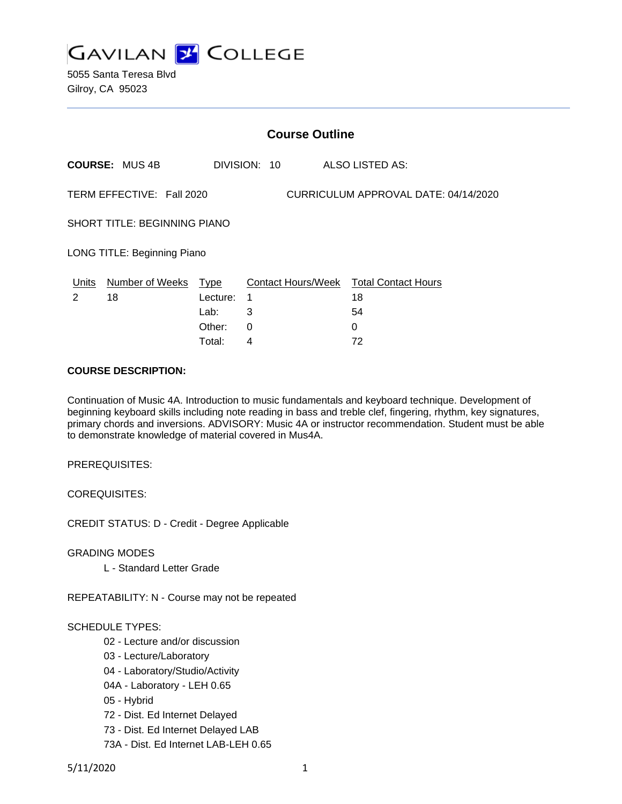

5055 Santa Teresa Blvd Gilroy, CA 95023

|                                                                   | <b>Course Outline</b> |          |              |                                        |  |  |
|-------------------------------------------------------------------|-----------------------|----------|--------------|----------------------------------------|--|--|
|                                                                   | <b>COURSE: MUS 4B</b> |          | DIVISION: 10 | ALSO LISTED AS:                        |  |  |
| CURRICULUM APPROVAL DATE: 04/14/2020<br>TERM EFFECTIVE: Fall 2020 |                       |          |              |                                        |  |  |
| <b>SHORT TITLE: BEGINNING PIANO</b>                               |                       |          |              |                                        |  |  |
| LONG TITLE: Beginning Piano                                       |                       |          |              |                                        |  |  |
| Units                                                             | Number of Weeks Type  |          |              | Contact Hours/Week Total Contact Hours |  |  |
| $\mathcal{P}$                                                     | 18                    | Lecture: | 1            | 18                                     |  |  |
|                                                                   |                       | Lab:     | 3            | 54                                     |  |  |
|                                                                   |                       | Other:   | $\Omega$     | $\Omega$                               |  |  |
|                                                                   |                       | Total:   | 4            | 72                                     |  |  |

#### **COURSE DESCRIPTION:**

Continuation of Music 4A. Introduction to music fundamentals and keyboard technique. Development of beginning keyboard skills including note reading in bass and treble clef, fingering, rhythm, key signatures, primary chords and inversions. ADVISORY: Music 4A or instructor recommendation. Student must be able to demonstrate knowledge of material covered in Mus4A.

PREREQUISITES:

COREQUISITES:

CREDIT STATUS: D - Credit - Degree Applicable

GRADING MODES

L - Standard Letter Grade

REPEATABILITY: N - Course may not be repeated

#### SCHEDULE TYPES:

- 02 Lecture and/or discussion
- 03 Lecture/Laboratory
- 04 Laboratory/Studio/Activity
- 04A Laboratory LEH 0.65
- 05 Hybrid
- 72 Dist. Ed Internet Delayed
- 73 Dist. Ed Internet Delayed LAB
- 73A Dist. Ed Internet LAB-LEH 0.65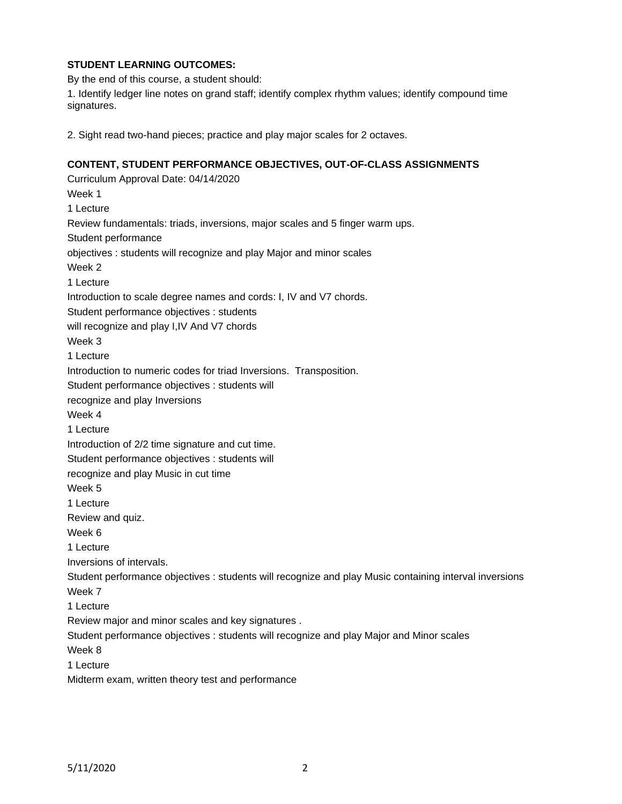# **STUDENT LEARNING OUTCOMES:**

By the end of this course, a student should:

1. Identify ledger line notes on grand staff; identify complex rhythm values; identify compound time signatures.

2. Sight read two-hand pieces; practice and play major scales for 2 octaves.

# **CONTENT, STUDENT PERFORMANCE OBJECTIVES, OUT-OF-CLASS ASSIGNMENTS**

Curriculum Approval Date: 04/14/2020 Week 1 1 Lecture Review fundamentals: triads, inversions, major scales and 5 finger warm ups. Student performance objectives : students will recognize and play Major and minor scales Week 2 1 Lecture Introduction to scale degree names and cords: I, IV and V7 chords. Student performance objectives : students will recognize and play I,IV And V7 chords Week 3 1 Lecture Introduction to numeric codes for triad Inversions. Transposition. Student performance objectives : students will recognize and play Inversions Week 4 1 Lecture Introduction of 2/2 time signature and cut time. Student performance objectives : students will recognize and play Music in cut time Week 5 1 Lecture Review and quiz. Week 6 1 Lecture Inversions of intervals. Student performance objectives : students will recognize and play Music containing interval inversions Week 7 1 Lecture Review major and minor scales and key signatures . Student performance objectives : students will recognize and play Major and Minor scales Week 8 1 Lecture Midterm exam, written theory test and performance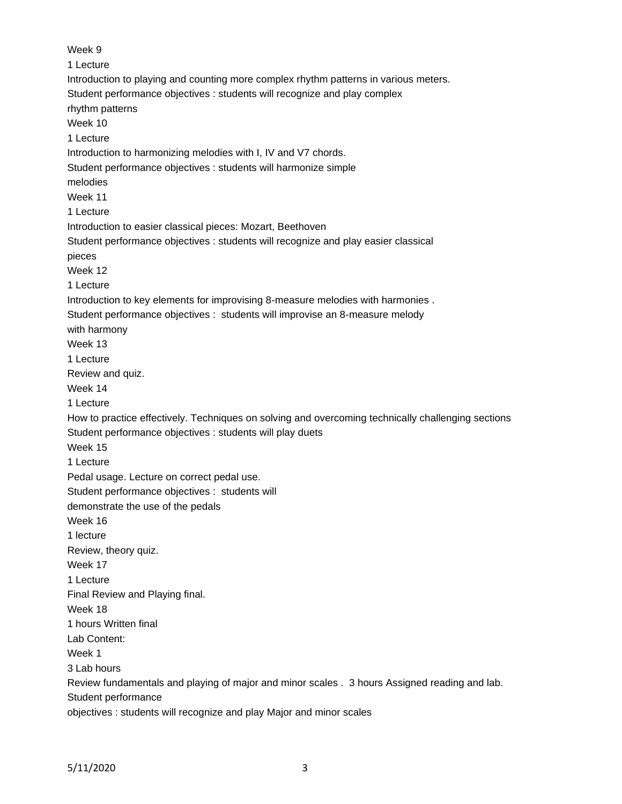Week 9 1 Lecture Introduction to playing and counting more complex rhythm patterns in various meters. Student performance objectives : students will recognize and play complex rhythm patterns Week 10 1 Lecture Introduction to harmonizing melodies with I, IV and V7 chords. Student performance objectives : students will harmonize simple melodies Week 11 1 Lecture Introduction to easier classical pieces: Mozart, Beethoven Student performance objectives : students will recognize and play easier classical pieces Week 12 1 Lecture Introduction to key elements for improvising 8-measure melodies with harmonies . Student performance objectives : students will improvise an 8-measure melody with harmony Week 13 1 Lecture Review and quiz. Week 14 1 Lecture How to practice effectively. Techniques on solving and overcoming technically challenging sections Student performance objectives : students will play duets Week 15 1 Lecture Pedal usage. Lecture on correct pedal use. Student performance objectives : students will demonstrate the use of the pedals Week 16 1 lecture Review, theory quiz. Week 17 1 Lecture Final Review and Playing final. Week 18 1 hours Written final Lab Content: Week 1 3 Lab hours Review fundamentals and playing of major and minor scales . 3 hours Assigned reading and lab. Student performance objectives : students will recognize and play Major and minor scales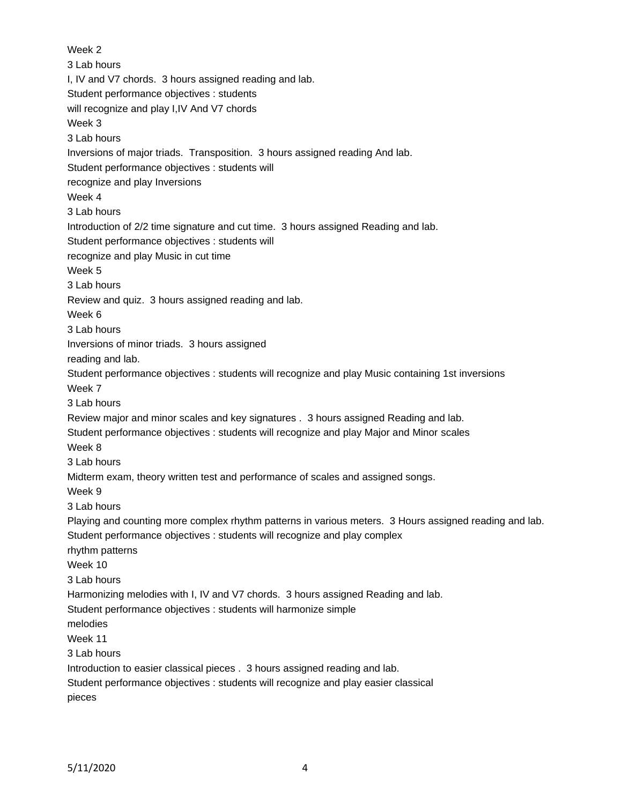Week 2 3 Lab hours I, IV and V7 chords. 3 hours assigned reading and lab. Student performance objectives : students will recognize and play I,IV And V7 chords Week 3 3 Lab hours Inversions of major triads. Transposition. 3 hours assigned reading And lab. Student performance objectives : students will recognize and play Inversions Week 4 3 Lab hours Introduction of 2/2 time signature and cut time. 3 hours assigned Reading and lab. Student performance objectives : students will recognize and play Music in cut time Week 5 3 Lab hours Review and quiz. 3 hours assigned reading and lab. Week 6 3 Lab hours Inversions of minor triads. 3 hours assigned reading and lab. Student performance objectives : students will recognize and play Music containing 1st inversions Week 7 3 Lab hours Review major and minor scales and key signatures . 3 hours assigned Reading and lab. Student performance objectives : students will recognize and play Major and Minor scales Week 8 3 Lab hours Midterm exam, theory written test and performance of scales and assigned songs. Week 9 3 Lab hours Playing and counting more complex rhythm patterns in various meters. 3 Hours assigned reading and lab. Student performance objectives : students will recognize and play complex rhythm patterns Week 10 3 Lab hours Harmonizing melodies with I, IV and V7 chords. 3 hours assigned Reading and lab. Student performance objectives : students will harmonize simple melodies Week 11 3 Lab hours Introduction to easier classical pieces . 3 hours assigned reading and lab. Student performance objectives : students will recognize and play easier classical pieces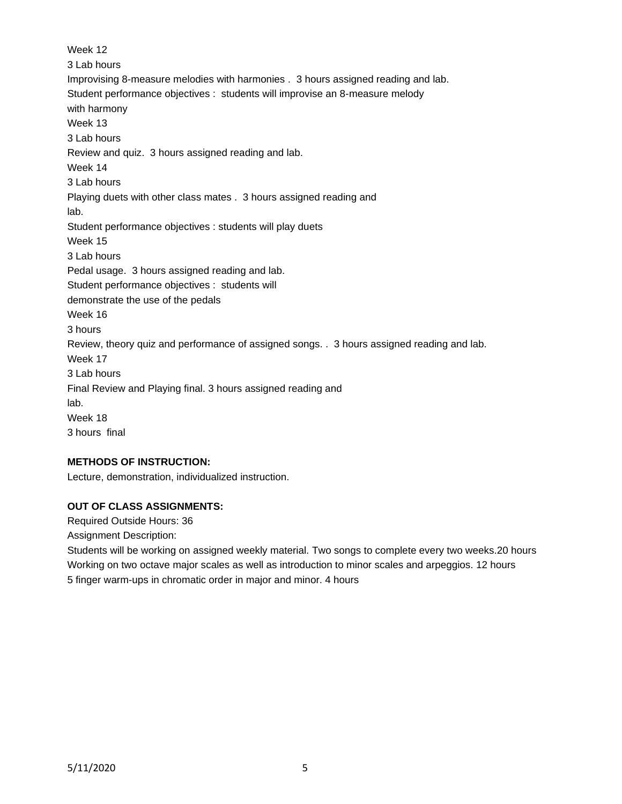Week 12 3 Lab hours Improvising 8-measure melodies with harmonies . 3 hours assigned reading and lab. Student performance objectives : students will improvise an 8-measure melody with harmony Week 13 3 Lab hours Review and quiz. 3 hours assigned reading and lab. Week 14 3 Lab hours Playing duets with other class mates . 3 hours assigned reading and lab. Student performance objectives : students will play duets Week 15 3 Lab hours Pedal usage. 3 hours assigned reading and lab. Student performance objectives : students will demonstrate the use of the pedals Week 16 3 hours Review, theory quiz and performance of assigned songs. . 3 hours assigned reading and lab. Week 17 3 Lab hours Final Review and Playing final. 3 hours assigned reading and lab. Week 18 3 hours final

### **METHODS OF INSTRUCTION:**

Lecture, demonstration, individualized instruction.

### **OUT OF CLASS ASSIGNMENTS:**

Required Outside Hours: 36

Assignment Description:

Students will be working on assigned weekly material. Two songs to complete every two weeks.20 hours Working on two octave major scales as well as introduction to minor scales and arpeggios. 12 hours 5 finger warm-ups in chromatic order in major and minor. 4 hours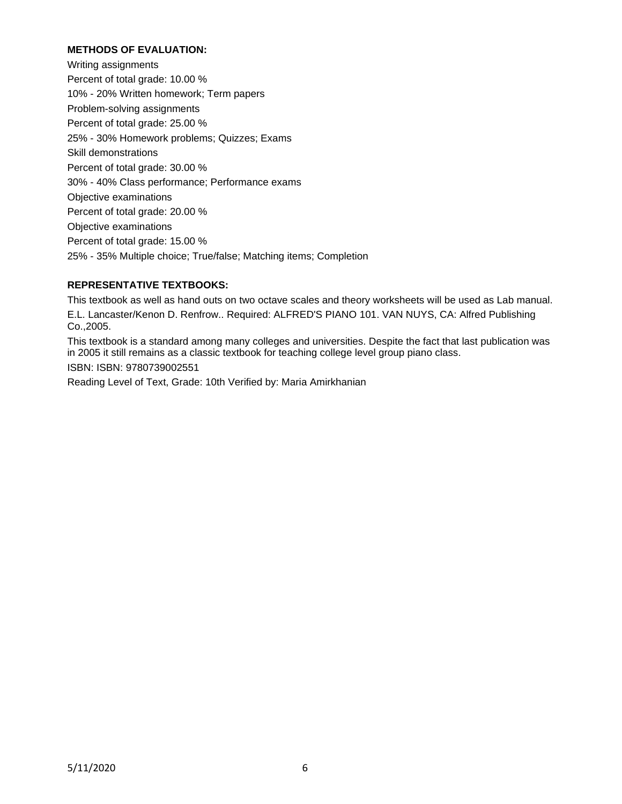### **METHODS OF EVALUATION:**

Writing assignments Percent of total grade: 10.00 % 10% - 20% Written homework; Term papers Problem-solving assignments Percent of total grade: 25.00 % 25% - 30% Homework problems; Quizzes; Exams Skill demonstrations Percent of total grade: 30.00 % 30% - 40% Class performance; Performance exams Objective examinations Percent of total grade: 20.00 % Objective examinations Percent of total grade: 15.00 % 25% - 35% Multiple choice; True/false; Matching items; Completion

# **REPRESENTATIVE TEXTBOOKS:**

This textbook as well as hand outs on two octave scales and theory worksheets will be used as Lab manual. E.L. Lancaster/Kenon D. Renfrow.. Required: ALFRED'S PIANO 101. VAN NUYS, CA: Alfred Publishing Co.,2005.

This textbook is a standard among many colleges and universities. Despite the fact that last publication was in 2005 it still remains as a classic textbook for teaching college level group piano class.

ISBN: ISBN: 9780739002551

Reading Level of Text, Grade: 10th Verified by: Maria Amirkhanian